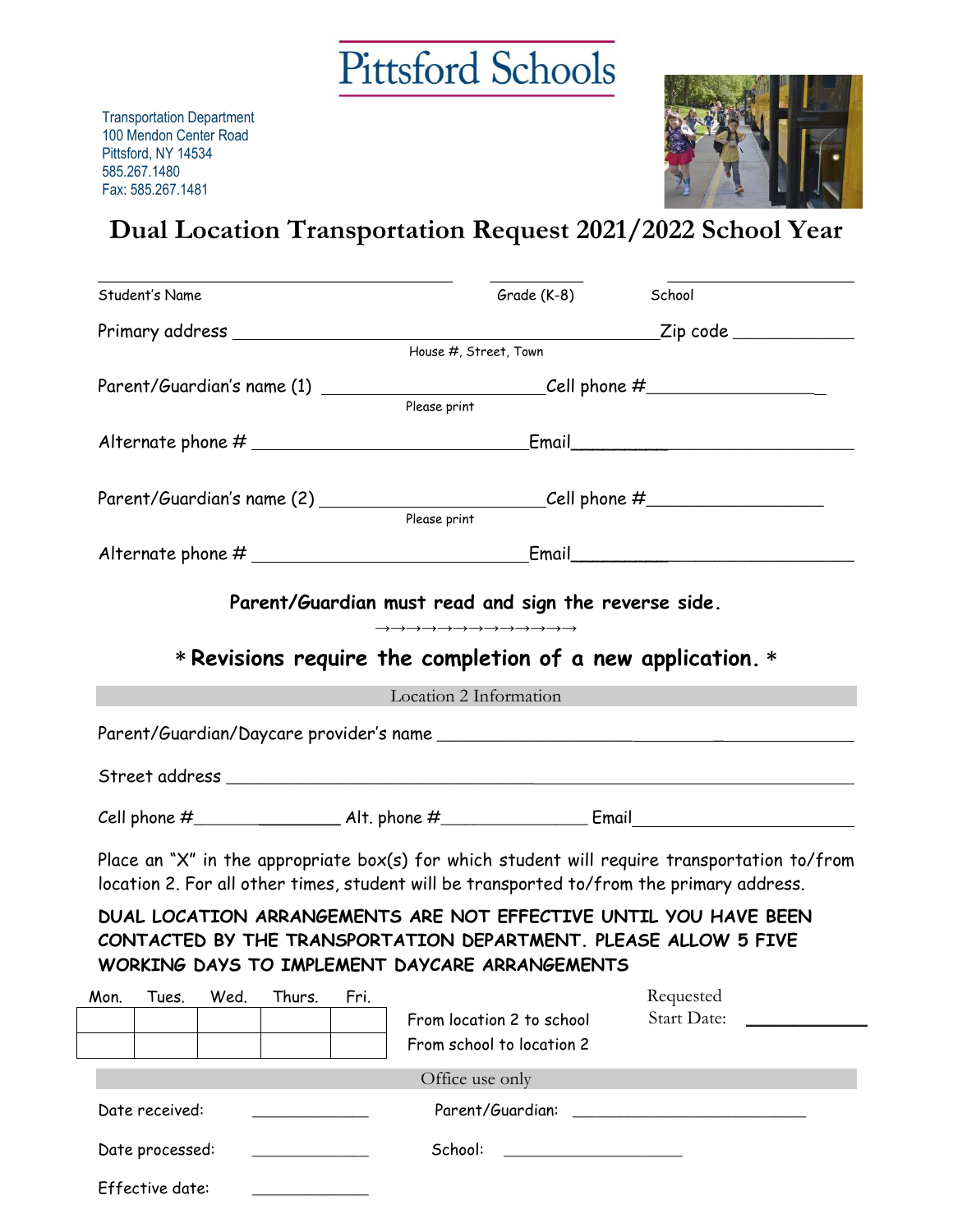

Transportation Department 100 Mendon Center Road Pittsford, NY 14534 585.267.1480 Fax: 585.267.1481

Effective date: \_\_\_\_\_\_\_\_\_\_\_\_\_\_\_



## **Dual Location Transportation Request 2021/2022 School Year**

| School<br>Grade (K-8)<br>House #, Street, Town<br>Parent/Guardian's name (1) ____________________________Cell phone #______________<br>Parent/Guardian's name (2) ______________________________Cell phone #____________<br>Parent/Guardian must read and sign the reverse side.<br>$\rightarrow \rightarrow \rightarrow \rightarrow \rightarrow \rightarrow \rightarrow \rightarrow \rightarrow \rightarrow \rightarrow \rightarrow \rightarrow \rightarrow \rightarrow \rightarrow \rightarrow$<br>$*$ Revisions require the completion of a new application. $*$<br>Location 2 Information |
|-----------------------------------------------------------------------------------------------------------------------------------------------------------------------------------------------------------------------------------------------------------------------------------------------------------------------------------------------------------------------------------------------------------------------------------------------------------------------------------------------------------------------------------------------------------------------------------------------|
|                                                                                                                                                                                                                                                                                                                                                                                                                                                                                                                                                                                               |
|                                                                                                                                                                                                                                                                                                                                                                                                                                                                                                                                                                                               |
|                                                                                                                                                                                                                                                                                                                                                                                                                                                                                                                                                                                               |
|                                                                                                                                                                                                                                                                                                                                                                                                                                                                                                                                                                                               |
|                                                                                                                                                                                                                                                                                                                                                                                                                                                                                                                                                                                               |
|                                                                                                                                                                                                                                                                                                                                                                                                                                                                                                                                                                                               |
|                                                                                                                                                                                                                                                                                                                                                                                                                                                                                                                                                                                               |
|                                                                                                                                                                                                                                                                                                                                                                                                                                                                                                                                                                                               |
|                                                                                                                                                                                                                                                                                                                                                                                                                                                                                                                                                                                               |
|                                                                                                                                                                                                                                                                                                                                                                                                                                                                                                                                                                                               |
|                                                                                                                                                                                                                                                                                                                                                                                                                                                                                                                                                                                               |
|                                                                                                                                                                                                                                                                                                                                                                                                                                                                                                                                                                                               |
|                                                                                                                                                                                                                                                                                                                                                                                                                                                                                                                                                                                               |
|                                                                                                                                                                                                                                                                                                                                                                                                                                                                                                                                                                                               |
|                                                                                                                                                                                                                                                                                                                                                                                                                                                                                                                                                                                               |
|                                                                                                                                                                                                                                                                                                                                                                                                                                                                                                                                                                                               |
|                                                                                                                                                                                                                                                                                                                                                                                                                                                                                                                                                                                               |
| Place an "X" in the appropriate box(s) for which student will require transportation to/from                                                                                                                                                                                                                                                                                                                                                                                                                                                                                                  |
| location 2. For all other times, student will be transported to/from the primary address.                                                                                                                                                                                                                                                                                                                                                                                                                                                                                                     |
| DUAL LOCATION ARRANGEMENTS ARE NOT EFFECTIVE UNTIL YOU HAVE BEEN<br>CONTACTED BY THE TRANSPORTATION DEPARTMENT. PLEASE ALLOW 5 FIVE<br>WORKING DAYS TO IMPLEMENT DAYCARE ARRANGEMENTS                                                                                                                                                                                                                                                                                                                                                                                                         |
| Requested                                                                                                                                                                                                                                                                                                                                                                                                                                                                                                                                                                                     |
| Start Date:<br>From location 2 to school                                                                                                                                                                                                                                                                                                                                                                                                                                                                                                                                                      |
|                                                                                                                                                                                                                                                                                                                                                                                                                                                                                                                                                                                               |
| From school to location 2                                                                                                                                                                                                                                                                                                                                                                                                                                                                                                                                                                     |
|                                                                                                                                                                                                                                                                                                                                                                                                                                                                                                                                                                                               |
| Parent/Guardian:                                                                                                                                                                                                                                                                                                                                                                                                                                                                                                                                                                              |
|                                                                                                                                                                                                                                                                                                                                                                                                                                                                                                                                                                                               |